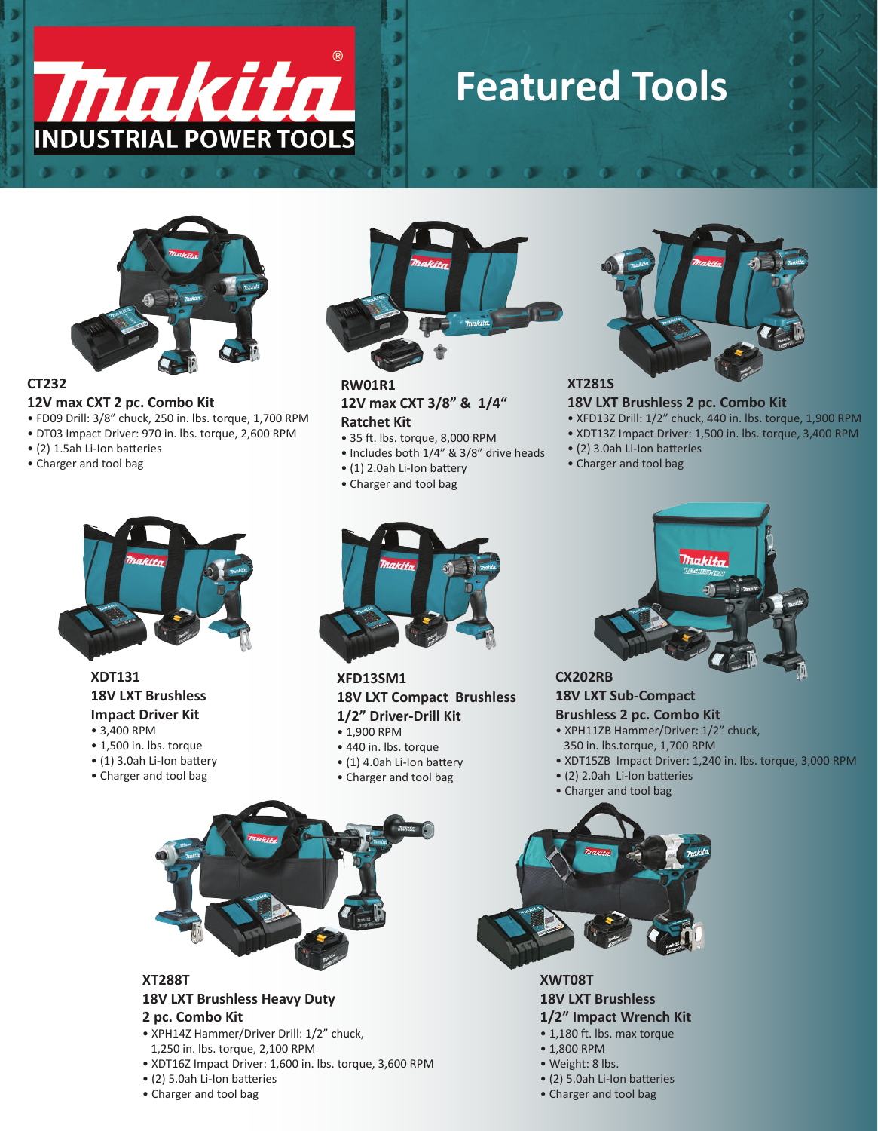

## **Featured Tools**

o l



### **CT232**

**12V max CXT 2 pc. Combo Kit** • FD09 Drill: 3/8" chuck, 250 in. lbs. torque, 1,700 RPM

- DT03 Impact Driver: 970 in. lbs. torque, 2,600 RPM
- (2) 1.5ah Li-Ion batteries
- Charger and tool bag



**RW01R1 12V max CXT 3/8" & 1/4" Ratchet Kit**

- 35 ft. lbs. torque, 8,000 RPM
- Includes both 1/4" & 3/8" drive heads
- (1) 2.0ah Li-Ion battery
- Charger and tool bag



#### **18V LXT Brushless 2 pc. Combo Kit**

- XFD13Z Drill: 1/2" chuck, 440 in. lbs. torque, 1,900 RPM
- XDT13Z Impact Driver: 1,500 in. lbs. torque, 3,400 RPM
- (2) 3.0ah Li-Ion batteries
- Charger and tool bag



#### **XDT131 18V LXT Brushless Impact Driver Kit**

- 3,400 RPM
- 1,500 in. lbs. torque
- (1) 3.0ah Li-Ion battery
- Charger and tool bag



#### **XFD13SM1 18V LXT Compact Brushless 1/2" Driver-Drill Kit**

- 1,900 RPM
- 440 in. lbs. torque
- $\bullet$  (1) 4.0ah Li-Ion battery
- Charger and tool bag



**CX202RB 18V LXT Sub-Compact** 

#### **Brushless 2 pc. Combo Kit**

- XPH11ZB Hammer/Driver: 1/2" chuck,
- 350 in. lbs.torque, 1,700 RPM
- XDT15ZB Impact Driver: 1,240 in. lbs. torque, 3,000 RPM
- (2) 2.0ah Li-Ion batteries • Charger and tool bag





#### **2 pc. Combo Kit**

- XPH14Z Hammer/Driver Drill: 1/2" chuck,
- 1,250 in. lbs. torque, 2,100 RPM
- XDT16Z Impact Driver: 1,600 in. lbs. torque, 3,600 RPM
- (2) 5.0ah Li-Ion batteries
- Charger and tool bag



**XWT08T 18V LXT Brushless** 

### **1/2" Impact Wrench Kit**

- 1,180 ft. lbs. max torque
- 1,800 RPM
- Weight: 8 lbs.
- (2) 5.0ah Li-Ion batteries
- Charger and tool bag